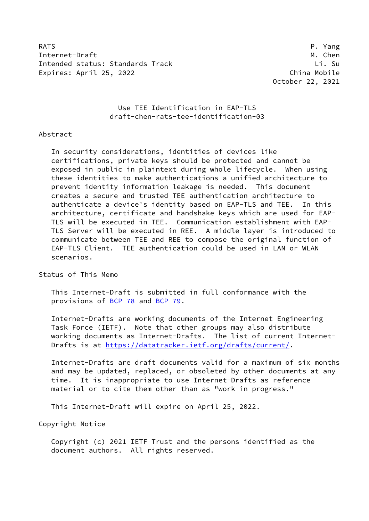RATS P. Yang Internet-Draft M. Chen Intended status: Standards Track Li. Su Expires: April 25, 2022 **China Mobile** 

October 22, 2021

# Use TEE Identification in EAP-TLS draft-chen-rats-tee-identification-03

## Abstract

 In security considerations, identities of devices like certifications, private keys should be protected and cannot be exposed in public in plaintext during whole lifecycle. When using these identities to make authentications a unified architecture to prevent identity information leakage is needed. This document creates a secure and trusted TEE authentication architecture to authenticate a device's identity based on EAP-TLS and TEE. In this architecture, certificate and handshake keys which are used for EAP- TLS will be executed in TEE. Communication establishment with EAP- TLS Server will be executed in REE. A middle layer is introduced to communicate between TEE and REE to compose the original function of EAP-TLS Client. TEE authentication could be used in LAN or WLAN scenarios.

## Status of This Memo

 This Internet-Draft is submitted in full conformance with the provisions of [BCP 78](https://datatracker.ietf.org/doc/pdf/bcp78) and [BCP 79](https://datatracker.ietf.org/doc/pdf/bcp79).

 Internet-Drafts are working documents of the Internet Engineering Task Force (IETF). Note that other groups may also distribute working documents as Internet-Drafts. The list of current Internet- Drafts is at<https://datatracker.ietf.org/drafts/current/>.

 Internet-Drafts are draft documents valid for a maximum of six months and may be updated, replaced, or obsoleted by other documents at any time. It is inappropriate to use Internet-Drafts as reference material or to cite them other than as "work in progress."

This Internet-Draft will expire on April 25, 2022.

Copyright Notice

 Copyright (c) 2021 IETF Trust and the persons identified as the document authors. All rights reserved.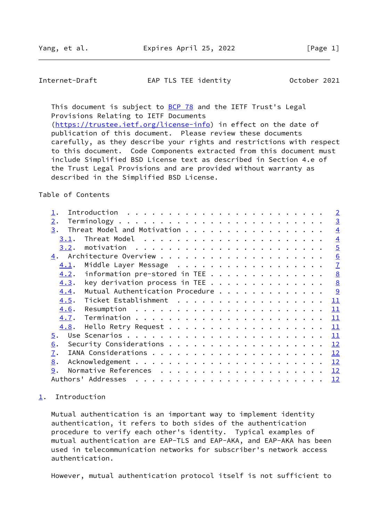<span id="page-1-1"></span>Internet-Draft EAP TLS TEE identity October 2021

This document is subject to **[BCP 78](https://datatracker.ietf.org/doc/pdf/bcp78)** and the IETF Trust's Legal Provisions Relating to IETF Documents [\(https://trustee.ietf.org/license-info](https://trustee.ietf.org/license-info)) in effect on the date of publication of this document. Please review these documents carefully, as they describe your rights and restrictions with respect to this document. Code Components extracted from this document must include Simplified BSD License text as described in Section 4.e of

 the Trust Legal Provisions and are provided without warranty as described in the Simplified BSD License.

Table of Contents

|      |                                                                      |  |  |  |  |  |  |  |  |  |  | $\sqrt{2}$      |
|------|----------------------------------------------------------------------|--|--|--|--|--|--|--|--|--|--|-----------------|
| 2.   |                                                                      |  |  |  |  |  |  |  |  |  |  | $\overline{3}$  |
| 3.   | Threat Model and Motivation                                          |  |  |  |  |  |  |  |  |  |  | $\overline{4}$  |
| 3.1. |                                                                      |  |  |  |  |  |  |  |  |  |  | $\overline{4}$  |
| 3.2. |                                                                      |  |  |  |  |  |  |  |  |  |  | $\overline{5}$  |
|      |                                                                      |  |  |  |  |  |  |  |  |  |  | 6               |
| 4.1. | Middle Layer Message                                                 |  |  |  |  |  |  |  |  |  |  | $\overline{1}$  |
| 4.2. | information pre-stored in TEE                                        |  |  |  |  |  |  |  |  |  |  | 8               |
| 4.3. | key derivation process in TEE                                        |  |  |  |  |  |  |  |  |  |  | 8               |
| 4.4. | Mutual Authentication Procedure                                      |  |  |  |  |  |  |  |  |  |  |                 |
| 4.5. | Ticket Establishment                                                 |  |  |  |  |  |  |  |  |  |  | 11              |
| 4.6. | Resumption $\ldots \ldots \ldots \ldots \ldots \ldots \ldots \ldots$ |  |  |  |  |  |  |  |  |  |  | 11              |
| 4.7. |                                                                      |  |  |  |  |  |  |  |  |  |  | 11              |
| 4.8. |                                                                      |  |  |  |  |  |  |  |  |  |  | 11              |
| 5.   |                                                                      |  |  |  |  |  |  |  |  |  |  | 11              |
| 6.   |                                                                      |  |  |  |  |  |  |  |  |  |  | 12              |
| 7.   |                                                                      |  |  |  |  |  |  |  |  |  |  | 12              |
| 8.   |                                                                      |  |  |  |  |  |  |  |  |  |  | <u> 12</u>      |
| 9.   |                                                                      |  |  |  |  |  |  |  |  |  |  | $\overline{12}$ |
|      |                                                                      |  |  |  |  |  |  |  |  |  |  | <u> 12</u>      |

## <span id="page-1-0"></span>[1](#page-1-0). Introduction

 Mutual authentication is an important way to implement identity authentication, it refers to both sides of the authentication procedure to verify each other's identity. Typical examples of mutual authentication are EAP-TLS and EAP-AKA, and EAP-AKA has been used in telecommunication networks for subscriber's network access authentication.

However, mutual authentication protocol itself is not sufficient to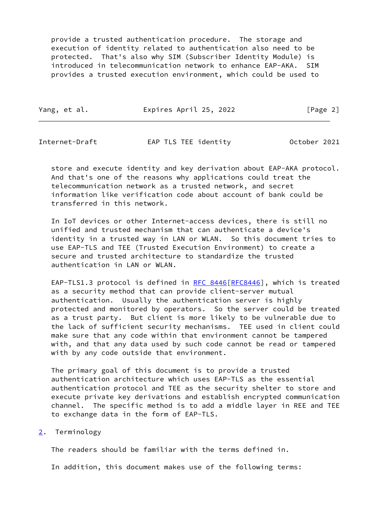provide a trusted authentication procedure. The storage and execution of identity related to authentication also need to be protected. That's also why SIM (Subscriber Identity Module) is introduced in telecommunication network to enhance EAP-AKA. SIM provides a trusted execution environment, which could be used to

Yang, et al. **Expires April 25, 2022** [Page 2]

<span id="page-2-1"></span>Internet-Draft EAP TLS TEE identity October 2021

 store and execute identity and key derivation about EAP-AKA protocol. And that's one of the reasons why applications could treat the telecommunication network as a trusted network, and secret information like verification code about account of bank could be transferred in this network.

 In IoT devices or other Internet-access devices, there is still no unified and trusted mechanism that can authenticate a device's identity in a trusted way in LAN or WLAN. So this document tries to use EAP-TLS and TEE (Trusted Execution Environment) to create a secure and trusted architecture to standardize the trusted authentication in LAN or WLAN.

EAP-TLS1.3 protocol is defined in [RFC 8446](https://datatracker.ietf.org/doc/pdf/rfc8446) [[RFC8446](https://datatracker.ietf.org/doc/pdf/rfc8446)], which is treated as a security method that can provide client-server mutual authentication. Usually the authentication server is highly protected and monitored by operators. So the server could be treated as a trust party. But client is more likely to be vulnerable due to the lack of sufficient security mechanisms. TEE used in client could make sure that any code within that environment cannot be tampered with, and that any data used by such code cannot be read or tampered with by any code outside that environment.

 The primary goal of this document is to provide a trusted authentication architecture which uses EAP-TLS as the essential authentication protocol and TEE as the security shelter to store and execute private key derivations and establish encrypted communication channel. The specific method is to add a middle layer in REE and TEE to exchange data in the form of EAP-TLS.

<span id="page-2-0"></span>[2](#page-2-0). Terminology

The readers should be familiar with the terms defined in.

In addition, this document makes use of the following terms: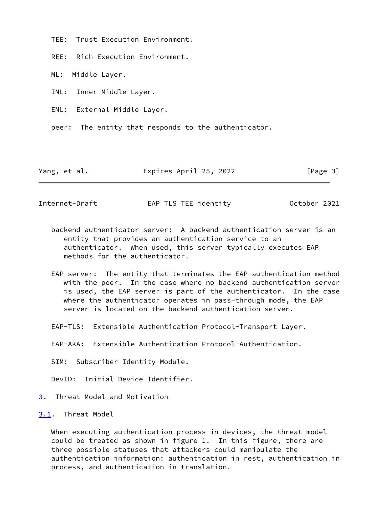TEE: Trust Execution Environment.

REE: Rich Execution Environment.

ML: Middle Layer.

IML: Inner Middle Layer.

EML: External Middle Layer.

peer: The entity that responds to the authenticator.

Yang, et al. **Expires April 25, 2022** [Page 3]

<span id="page-3-1"></span>Internet-Draft EAP TLS TEE identity October 2021

- backend authenticator server: A backend authentication server is an entity that provides an authentication service to an authenticator. When used, this server typically executes EAP methods for the authenticator.
- EAP server: The entity that terminates the EAP authentication method with the peer. In the case where no backend authentication server is used, the EAP server is part of the authenticator. In the case where the authenticator operates in pass-through mode, the EAP server is located on the backend authentication server.
- EAP-TLS: Extensible Authentication Protocol-Transport Layer.

EAP-AKA: Extensible Authentication Protocol-Authentication.

SIM: Subscriber Identity Module.

DevID: Initial Device Identifier.

<span id="page-3-0"></span>[3](#page-3-0). Threat Model and Motivation

<span id="page-3-2"></span>[3.1](#page-3-2). Threat Model

 When executing authentication process in devices, the threat model could be treated as shown in figure 1. In this figure, there are three possible statuses that attackers could manipulate the authentication information: authentication in rest, authentication in process, and authentication in translation.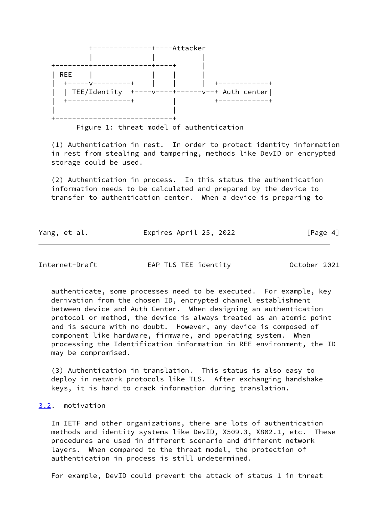

Figure 1: threat model of authentication

 (1) Authentication in rest. In order to protect identity information in rest from stealing and tampering, methods like DevID or encrypted storage could be used.

 (2) Authentication in process. In this status the authentication information needs to be calculated and prepared by the device to transfer to authentication center. When a device is preparing to

Yang, et al. **Expires April 25, 2022** [Page 4]

<span id="page-4-1"></span>Internet-Draft EAP TLS TEE identity October 2021

 authenticate, some processes need to be executed. For example, key derivation from the chosen ID, encrypted channel establishment between device and Auth Center. When designing an authentication protocol or method, the device is always treated as an atomic point and is secure with no doubt. However, any device is composed of component like hardware, firmware, and operating system. When processing the Identification information in REE environment, the ID may be compromised.

 (3) Authentication in translation. This status is also easy to deploy in network protocols like TLS. After exchanging handshake keys, it is hard to crack information during translation.

## <span id="page-4-0"></span>[3.2](#page-4-0). motivation

 In IETF and other organizations, there are lots of authentication methods and identity systems like DevID, X509.3, X802.1, etc. These procedures are used in different scenario and different network layers. When compared to the threat model, the protection of authentication in process is still undetermined.

For example, DevID could prevent the attack of status 1 in threat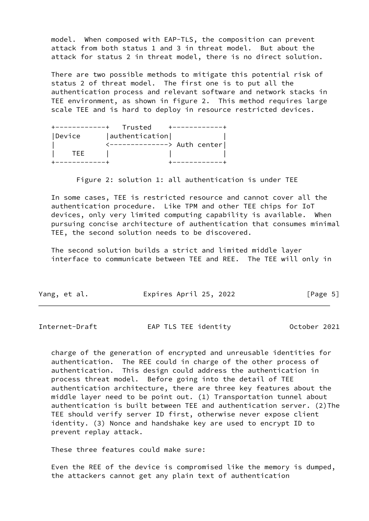model. When composed with EAP-TLS, the composition can prevent attack from both status 1 and 3 in threat model. But about the attack for status 2 in threat model, there is no direct solution.

 There are two possible methods to mitigate this potential risk of status 2 of threat model. The first one is to put all the authentication process and relevant software and network stacks in TEE environment, as shown in figure 2. This method requires large scale TEE and is hard to deploy in resource restricted devices.

|        | Trusted                      |  |
|--------|------------------------------|--|
| Device | authentication               |  |
|        | <--------------> Auth center |  |
| TFF    |                              |  |
|        |                              |  |

Figure 2: solution 1: all authentication is under TEE

 In some cases, TEE is restricted resource and cannot cover all the authentication procedure. Like TPM and other TEE chips for IoT devices, only very limited computing capability is available. When pursuing concise architecture of authentication that consumes minimal TEE, the second solution needs to be discovered.

 The second solution builds a strict and limited middle layer interface to communicate between TEE and REE. The TEE will only in

|  | Yang, et al. | Expires April 25, 2022 |  |  | [Page 5] |  |
|--|--------------|------------------------|--|--|----------|--|
|--|--------------|------------------------|--|--|----------|--|

<span id="page-5-0"></span>

| EAP TLS TEE identity<br>Internet-Draft | October 2021 |  |
|----------------------------------------|--------------|--|
|----------------------------------------|--------------|--|

 charge of the generation of encrypted and unreusable identities for authentication. The REE could in charge of the other process of authentication. This design could address the authentication in process threat model. Before going into the detail of TEE authentication architecture, there are three key features about the middle layer need to be point out. (1) Transportation tunnel about authentication is built between TEE and authentication server. (2)The TEE should verify server ID first, otherwise never expose client identity. (3) Nonce and handshake key are used to encrypt ID to prevent replay attack.

These three features could make sure:

 Even the REE of the device is compromised like the memory is dumped, the attackers cannot get any plain text of authentication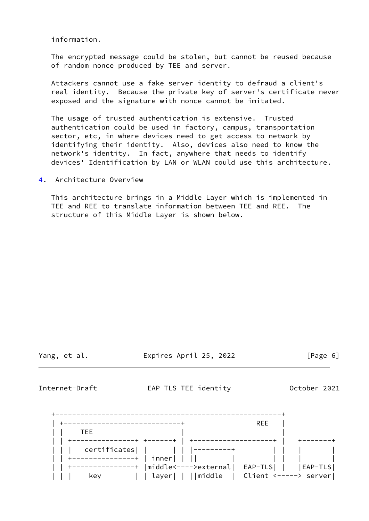information.

 The encrypted message could be stolen, but cannot be reused because of random nonce produced by TEE and server.

 Attackers cannot use a fake server identity to defraud a client's real identity. Because the private key of server's certificate never exposed and the signature with nonce cannot be imitated.

 The usage of trusted authentication is extensive. Trusted authentication could be used in factory, campus, transportation sector, etc, in where devices need to get access to network by identifying their identity. Also, devices also need to know the network's identity. In fact, anywhere that needs to identify devices' Identification by LAN or WLAN could use this architecture.

<span id="page-6-0"></span>[4](#page-6-0). Architecture Overview

 This architecture brings in a Middle Layer which is implemented in TEE and REE to translate information between TEE and REE. The structure of this Middle Layer is shown below.

Yang, et al. **Expires April 25, 2022** [Page 6]

<span id="page-6-1"></span>Internet-Draft EAP TLS TEE identity October 2021

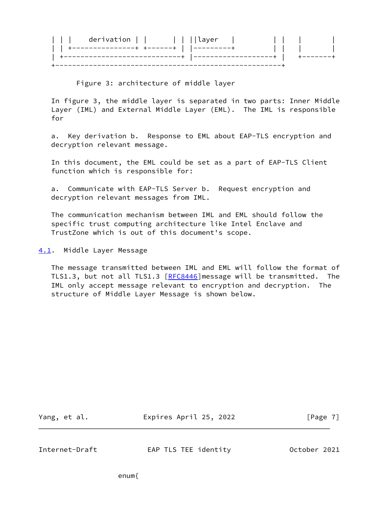| derivation | ıllaver<br><b>Contract Contract Contract</b> |  |  |
|------------|----------------------------------------------|--|--|
|            |                                              |  |  |
|            |                                              |  |  |
|            |                                              |  |  |

Figure 3: architecture of middle layer

 In figure 3, the middle layer is separated in two parts: Inner Middle Layer (IML) and External Middle Layer (EML). The IML is responsible for

 a. Key derivation b. Response to EML about EAP-TLS encryption and decryption relevant message.

 In this document, the EML could be set as a part of EAP-TLS Client function which is responsible for:

 a. Communicate with EAP-TLS Server b. Request encryption and decryption relevant messages from IML.

 The communication mechanism between IML and EML should follow the specific trust computing architecture like Intel Enclave and TrustZone which is out of this document's scope.

<span id="page-7-0"></span>[4.1](#page-7-0). Middle Layer Message

 The message transmitted between IML and EML will follow the format of TLS1.3, but not all TLS1.3 [[RFC8446\]](https://datatracker.ietf.org/doc/pdf/rfc8446)message will be transmitted. The IML only accept message relevant to encryption and decryption. The structure of Middle Layer Message is shown below.

| Yang, et al. | Expires April 25, 2022 | [Page 7] |
|--------------|------------------------|----------|
|              |                        |          |

<span id="page-7-1"></span>Internet-Draft EAP TLS TEE identity October 2021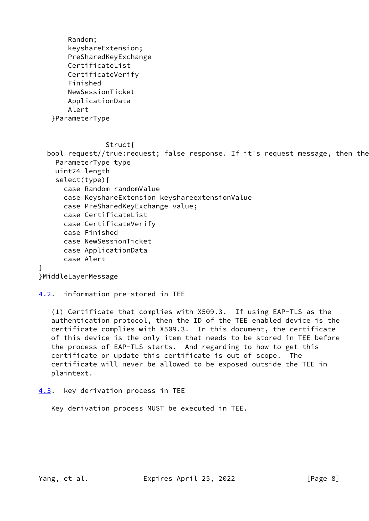Random; keyshareExtension; PreSharedKeyExchange CertificateList CertificateVerify Finished NewSessionTicket ApplicationData Alert }ParameterType

## Struct{

bool request//true: request; false response. If it's request message, then the ParameterType type uint24 length select(type){ case Random randomValue case KeyshareExtension keyshareextensionValue case PreSharedKeyExchange value; case CertificateList case CertificateVerify case Finished case NewSessionTicket case ApplicationData case Alert

# }MiddleLayerMessage

}

# <span id="page-8-0"></span>[4.2](#page-8-0). information pre-stored in TEE

 (1) Certificate that complies with X509.3. If using EAP-TLS as the authentication protocol, then the ID of the TEE enabled device is the certificate complies with X509.3. In this document, the certificate of this device is the only item that needs to be stored in TEE before the process of EAP-TLS starts. And regarding to how to get this certificate or update this certificate is out of scope. The certificate will never be allowed to be exposed outside the TEE in plaintext.

<span id="page-8-1"></span>[4.3](#page-8-1). key derivation process in TEE

Key derivation process MUST be executed in TEE.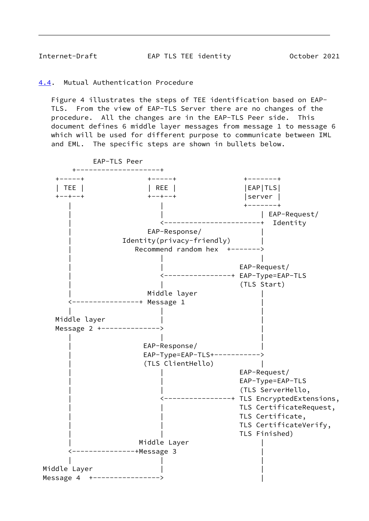<span id="page-9-1"></span>Internet-Draft EAP TLS TEE identity October 2021

<span id="page-9-0"></span>[4.4](#page-9-0). Mutual Authentication Procedure

 Figure 4 illustrates the steps of TEE identification based on EAP- TLS. From the view of EAP-TLS Server there are no changes of the procedure. All the changes are in the EAP-TLS Peer side. This document defines 6 middle layer messages from message 1 to message 6 which will be used for different purpose to communicate between IML and EML. The specific steps are shown in bullets below.

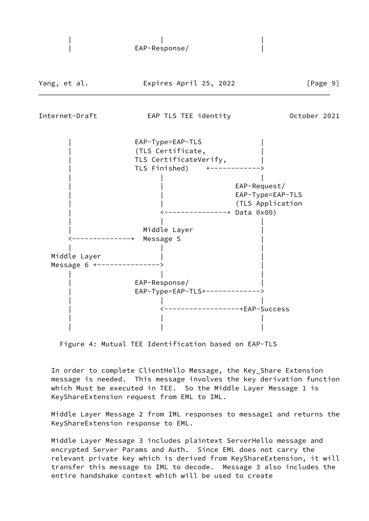

Figure 4: Mutual TEE Identification based on EAP-TLS

 In order to complete ClientHello Message, the Key\_Share Extension message is needed. This message involves the key derivation function which Must be executed in TEE. So the Middle Layer Message 1 is KeyShareExtension request from EML to IML.

 Middle Layer Message 2 from IML responses to message1 and returns the KeyShareExtension response to EML.

 Middle Layer Message 3 includes plaintext ServerHello message and encrypted Server Params and Auth. Since EML does not carry the relevant private key which is derived from KeyShareExtension, it will transfer this message to IML to decode. Message 3 also includes the entire handshake context which will be used to create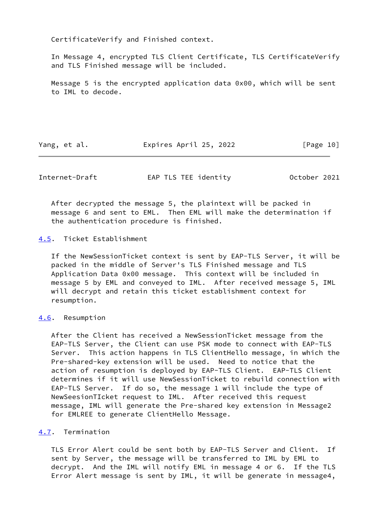CertificateVerify and Finished context.

 In Message 4, encrypted TLS Client Certificate, TLS CertificateVerify and TLS Finished message will be included.

 Message 5 is the encrypted application data 0x00, which will be sent to IML to decode.

Yang, et al. Expires April 25, 2022 [Page 10]

<span id="page-11-1"></span>Internet-Draft EAP TLS TEE identity October 2021

 After decrypted the message 5, the plaintext will be packed in message 6 and sent to EML. Then EML will make the determination if the authentication procedure is finished.

<span id="page-11-0"></span>[4.5](#page-11-0). Ticket Establishment

 If the NewSessionTicket context is sent by EAP-TLS Server, it will be packed in the middle of Server's TLS Finished message and TLS Application Data 0x00 message. This context will be included in message 5 by EML and conveyed to IML. After received message 5, IML will decrypt and retain this ticket establishment context for resumption.

## <span id="page-11-2"></span>[4.6](#page-11-2). Resumption

 After the Client has received a NewSessionTicket message from the EAP-TLS Server, the Client can use PSK mode to connect with EAP-TLS Server. This action happens in TLS ClientHello message, in which the Pre-shared-key extension will be used. Need to notice that the action of resumption is deployed by EAP-TLS Client. EAP-TLS Client determines if it will use NewSessionTicket to rebuild connection with EAP-TLS Server. If do so, the message 1 will include the type of NewSeesionTIcket request to IML. After received this request message, IML will generate the Pre-shared key extension in Message2 for EMLREE to generate ClientHello Message.

# <span id="page-11-3"></span>[4.7](#page-11-3). Termination

 TLS Error Alert could be sent both by EAP-TLS Server and Client. If sent by Server, the message will be transferred to IML by EML to decrypt. And the IML will notify EML in message 4 or 6. If the TLS Error Alert message is sent by IML, it will be generate in message4,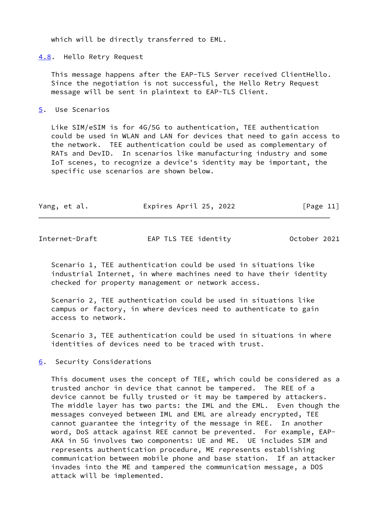which will be directly transferred to EML.

<span id="page-12-0"></span>[4.8](#page-12-0). Hello Retry Request

 This message happens after the EAP-TLS Server received ClientHello. Since the negotiation is not successful, the Hello Retry Request message will be sent in plaintext to EAP-TLS Client.

<span id="page-12-1"></span>[5](#page-12-1). Use Scenarios

 Like SIM/eSIM is for 4G/5G to authentication, TEE authentication could be used in WLAN and LAN for devices that need to gain access to the network. TEE authentication could be used as complementary of RATs and DevID. In scenarios like manufacturing industry and some IoT scenes, to recognize a device's identity may be important, the specific use scenarios are shown below.

| Yang, et al. | Expires April 25, 2022 | [Page 11] |
|--------------|------------------------|-----------|
|              |                        |           |

<span id="page-12-3"></span>Internet-Draft EAP TLS TEE identity October 2021

 Scenario 1, TEE authentication could be used in situations like industrial Internet, in where machines need to have their identity checked for property management or network access.

 Scenario 2, TEE authentication could be used in situations like campus or factory, in where devices need to authenticate to gain access to network.

 Scenario 3, TEE authentication could be used in situations in where identities of devices need to be traced with trust.

<span id="page-12-2"></span>[6](#page-12-2). Security Considerations

 This document uses the concept of TEE, which could be considered as a trusted anchor in device that cannot be tampered. The REE of a device cannot be fully trusted or it may be tampered by attackers. The middle layer has two parts: the IML and the EML. Even though the messages conveyed between IML and EML are already encrypted, TEE cannot guarantee the integrity of the message in REE. In another word, DoS attack against REE cannot be prevented. For example, EAP- AKA in 5G involves two components: UE and ME. UE includes SIM and represents authentication procedure, ME represents establishing communication between mobile phone and base station. If an attacker invades into the ME and tampered the communication message, a DOS attack will be implemented.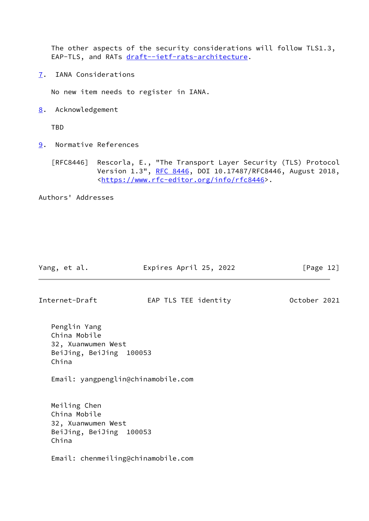The other aspects of the security considerations will follow TLS1.3, EAP-TLS, and RATs [draft--ietf-rats-architecture.](https://datatracker.ietf.org/doc/pdf/draft--ietf-rats-architecture)

<span id="page-13-0"></span>[7](#page-13-0). IANA Considerations

No new item needs to register in IANA.

<span id="page-13-1"></span>[8](#page-13-1). Acknowledgement

TBD

<span id="page-13-2"></span>[9](#page-13-2). Normative References

 [RFC8446] Rescorla, E., "The Transport Layer Security (TLS) Protocol Version 1.3", [RFC 8446](https://datatracker.ietf.org/doc/pdf/rfc8446), DOI 10.17487/RFC8446, August 2018, <[https://www.rfc-editor.org/info/rfc8446>](https://www.rfc-editor.org/info/rfc8446).

Authors' Addresses

| Yang, et al.                                                                    | Expires April 25, 2022             | [Page 12]    |
|---------------------------------------------------------------------------------|------------------------------------|--------------|
| Internet-Draft                                                                  | EAP TLS TEE identity               | October 2021 |
| Penglin Yang<br>China Mobile<br>32, Xuanwumen West<br>BeiJing, BeiJing<br>China | 100053                             |              |
|                                                                                 | Email: yangpenglin@chinamobile.com |              |
| Meiling Chen<br>China Mobile<br>32, Xuanwumen West<br>BeiJing, BeiJing<br>China | 100053                             |              |

Email: chenmeiling@chinamobile.com